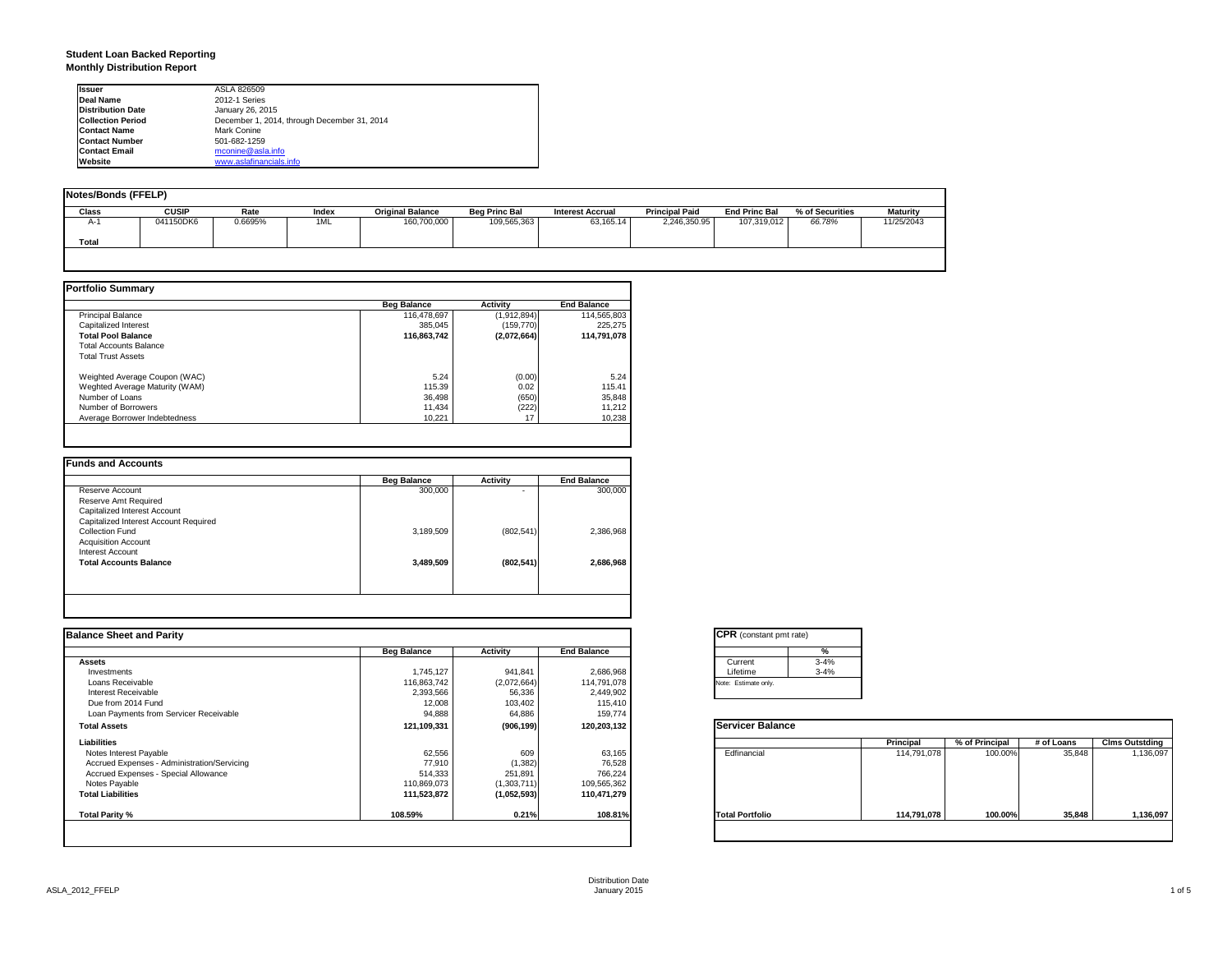### **Student Loan Backed Reporting Monthly Distribution Report**

| <b>Issuer</b>            | ASLA 826509                                 |
|--------------------------|---------------------------------------------|
| Deal Name                | 2012-1 Series                               |
| <b>Distribution Date</b> | January 26, 2015                            |
| <b>Collection Period</b> | December 1, 2014, through December 31, 2014 |
| <b>Contact Name</b>      | Mark Conine                                 |
| <b>Contact Number</b>    | 501-682-1259                                |
| <b>Contact Email</b>     | mconine@asla.info                           |
| Website                  | www.aslafinancials.info                     |

| Notes/Bonds (FFELP) |              |         |       |                         |                      |                         |                       |                      |                 |                 |
|---------------------|--------------|---------|-------|-------------------------|----------------------|-------------------------|-----------------------|----------------------|-----------------|-----------------|
| Class               | <b>CUSIP</b> | Rate    | Index | <b>Original Balance</b> | <b>Beg Princ Bal</b> | <b>Interest Accrual</b> | <b>Principal Paid</b> | <b>End Princ Bal</b> | % of Securities | <b>Maturity</b> |
| A-1                 | 041150DK6    | 0.6695% | 1ML   | 160,700,000             | 109,565,363          | 63.165.14               | 2,246,350.95          | 107.319.012          | 66.78%          | 11/25/2043      |
| Total               |              |         |       |                         |                      |                         |                       |                      |                 |                 |
|                     |              |         |       |                         |                      |                         |                       |                      |                 |                 |

|                                | <b>Beg Balance</b> | <b>Activity</b> | <b>End Balance</b> |
|--------------------------------|--------------------|-----------------|--------------------|
| <b>Principal Balance</b>       | 116,478,697        | (1,912,894)     | 114,565,803        |
| Capitalized Interest           | 385.045            | (159, 770)      | 225.275            |
| <b>Total Pool Balance</b>      | 116,863,742        | (2,072,664)     | 114,791,078        |
| <b>Total Accounts Balance</b>  |                    |                 |                    |
| <b>Total Trust Assets</b>      |                    |                 |                    |
| Weighted Average Coupon (WAC)  | 5.24               | (0.00)          | 5.24               |
| Weghted Average Maturity (WAM) | 115.39             | 0.02            | 115.41             |
| Number of Loans                | 36,498             | (650)           | 35,848             |
| Number of Borrowers            | 11.434             | (222)           | 11,212             |
| Average Borrower Indebtedness  | 10.221             | 17              | 10,238             |

| <b>Beg Balance</b> | <b>Activity</b> | <b>End Balance</b> |
|--------------------|-----------------|--------------------|
| 300,000            |                 | 300,000            |
|                    |                 |                    |
|                    |                 |                    |
|                    |                 |                    |
| 3,189,509          | (802, 541)      | 2,386,968          |
|                    |                 |                    |
|                    |                 |                    |
| 3,489,509          | (802, 541)      | 2.686.968          |
|                    |                 |                    |
|                    |                 |                    |
|                    |                 |                    |

| <b>End Balance</b><br>2,686,968<br>114,791,078<br>2,449,902<br>115,410<br>159,774<br>120,203,132 | Current<br>Lifetime<br>Note: Estimate only.<br><b>Servicer Balance</b> | %<br>$3 - 4%$<br>$3 - 4%$ |             |                |            |                       |
|--------------------------------------------------------------------------------------------------|------------------------------------------------------------------------|---------------------------|-------------|----------------|------------|-----------------------|
|                                                                                                  |                                                                        |                           |             |                |            |                       |
|                                                                                                  |                                                                        |                           |             |                |            |                       |
|                                                                                                  |                                                                        |                           |             |                |            |                       |
|                                                                                                  |                                                                        |                           |             |                |            |                       |
|                                                                                                  |                                                                        |                           |             |                |            |                       |
|                                                                                                  |                                                                        |                           |             |                |            |                       |
|                                                                                                  |                                                                        |                           |             |                |            |                       |
|                                                                                                  |                                                                        |                           |             |                |            |                       |
|                                                                                                  |                                                                        |                           | Principal   | % of Principal | # of Loans | <b>Clms Outstding</b> |
| 63,165                                                                                           | Edfinancial                                                            |                           | 114,791,078 | 100.00%        | 35,848     | 1,136,097             |
| 76,528                                                                                           |                                                                        |                           |             |                |            |                       |
| 766,224                                                                                          |                                                                        |                           |             |                |            |                       |
| 109,565,362                                                                                      |                                                                        |                           |             |                |            |                       |
| 110,471,279                                                                                      |                                                                        |                           |             |                |            |                       |
| 108.81%                                                                                          | <b>Total Portfolio</b>                                                 |                           | 114,791,078 | 100.00%        | 35,848     | 1,136,097             |
|                                                                                                  |                                                                        |                           |             |                |            |                       |

|          | ℀        |
|----------|----------|
| Current  | $3 - 4%$ |
| Lifetime | $3 - 4%$ |

|                        | Principal   | % of Principal | # of Loans | <b>Clms Outstding</b> |
|------------------------|-------------|----------------|------------|-----------------------|
| Edfinancial            | 114,791,078 | 100.00%        | 35,848     | 1,136,097             |
| <b>Total Portfolio</b> | 114,791,078 | 100.00%        | 35,848     | 1,136,097             |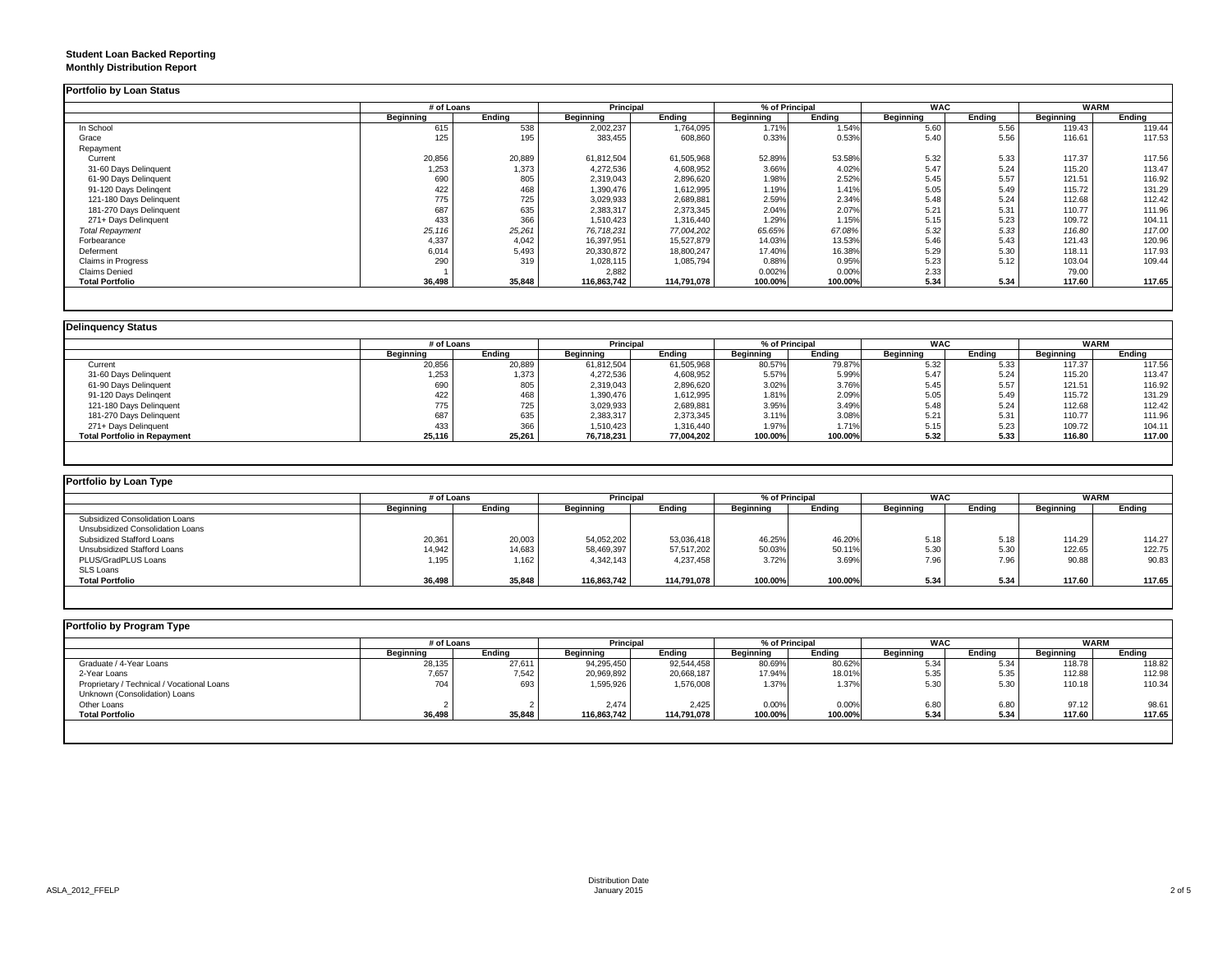### **Student Loan Backed Reporting Monthly Distribution Report**

|                           | # of Loans       |        | <b>Principal</b> |             | % of Principal |         | <b>WAC</b> |        | <b>WARM</b> |        |
|---------------------------|------------------|--------|------------------|-------------|----------------|---------|------------|--------|-------------|--------|
|                           | <b>Beginning</b> | Ending | Beginning        | Ending      | Beginning      | Ending  | Beginning  | Ending | Beginning   | Ending |
| In School                 | 615              | 538    | 2,002,237        | 1,764,095   | 1.71%          | 1.54%   | 5.60       | 5.56   | 119.43      | 119.44 |
| Grace                     | 125              | 195    | 383,455          | 608,860     | 0.33%          | 0.53%   | 5.40       | 5.56   | 116.61      | 117.53 |
| Repayment                 |                  |        |                  |             |                |         |            |        |             |        |
| Current                   | 20,856           | 20,889 | 61,812,504       | 61,505,968  | 52.89%         | 53.58%  | 5.32       | 5.33   | 117.37      | 117.56 |
| 31-60 Days Delinquent     | 1,253            | 1,373  | 4,272,536        | 4,608,952   | 3.66%          | 4.02%   | 5.47       | 5.24   | 115.20      | 113.47 |
| 61-90 Days Delinquent     | 690              | 805    | 2,319,043        | 2,896,620   | 1.98%          | 2.52%   | 5.45       | 5.57   | 121.51      | 116.92 |
| 91-120 Days Delingent     | 422              | 468    | 1,390,476        | 1,612,995   | 1.19%          | 1.41%   | 5.05       | 5.49   | 115.72      | 131.29 |
| 121-180 Days Delinquent   | 775              | 725    | 3,029,933        | 2,689,881   | 2.59%          | 2.34%   | 5.48       | 5.24   | 112.68      | 112.42 |
| 181-270 Days Delinquent   | 687              | 635    | 2,383,317        | 2,373,345   | 2.04%          | 2.07%   | 5.21       | 5.31   | 110.77      | 111.96 |
| 271+ Days Delinquent      | 433              | 366    | 1,510,423        | 1,316,440   | 1.29%          | 1.15%   | 5.15       | 5.23   | 109.72      | 104.1' |
| <b>Total Repayment</b>    | 25,116           | 25,261 | 76,718,231       | 77,004,202  | 65.65%         | 67.08%  | 5.32       | 5.33   | 116.80      | 117.00 |
| Forbearance               | 4,337            | 4,042  | 16,397,951       | 15,527,879  | 14.03%         | 13.53%  | 5.46       | 5.43   | 121.43      | 120.96 |
| Deferment                 | 6,014            | 5,493  | 20,330,872       | 18,800,247  | 17.40%         | 16.38%  | 5.29       | 5.30   | 118.11      | 117.93 |
| <b>Claims in Progress</b> | 290              | 319    | 1,028,115        | 1,085,794   | 0.88%          | 0.95%   | 5.23       | 5.12   | 103.04      | 109.44 |
| Claims Denied             |                  |        | 2,882            |             | 0.002%         | 0.00%   | 2.33       |        | 79.00       |        |
| <b>Total Portfolio</b>    | 36,498           | 35,848 | 116,863,742      | 114,791,078 | 100.00%        | 100.00% | 5.34       | 5.34   | 117.60      | 117.65 |

|                                     |           | # of Loans |            | <b>Principal</b> | % of Principal |         | <b>WAC</b>       |        | <b>WARM</b> |        |
|-------------------------------------|-----------|------------|------------|------------------|----------------|---------|------------------|--------|-------------|--------|
|                                     | Beainnina | Endina     | Beainnina  | Ending           | Beginning      | Endina  | <b>Beginning</b> | Endina | Beginning   | Ending |
| Current                             | 20,856    | 20,889     | 61,812,504 | 61,505,968       | 80.57%         | 79.87%  | 5.32             | 5.33   | 117.37      | 117.56 |
| 31-60 Days Delinquent               | 1,253     | 1,373      | 4,272,536  | 4,608,952        | 5.57%          | 5.99%   | 5.47             | 5.24   | 115.20      | 113.47 |
| 61-90 Days Delinquent               | 690       | 805        | 2,319,043  | 2,896,620        | 3.02%          | 3.76%   | 5.45             | 5.57   | 121.51      | 116.92 |
| 91-120 Days Delingent               | 422       | 468        | 1,390,476  | 1,612,995        | 1.81%          | 2.09%   | 5.05             | 5.49   | 115.72      | 131.29 |
| 121-180 Days Delinquent             | 775       | 725        | 3,029,933  | 2,689,881        | 3.95%          | 3.49%   | 5.48             | 5.24   | 112.68      | 112.42 |
| 181-270 Days Delinquent             | 687       | 635        | 2,383,317  | 2,373,345        | 3.11%          | 3.08%   | 5.21             | 5.31   | 110.77      | 111.96 |
| 271+ Days Delinquent                | 433       | 366        | 1,510,423  | 1,316,440        | 1.97%          | 1.71%   | 5.15             | 5.23   | 109.72      | 104.11 |
| <b>Total Portfolio in Repayment</b> | 25,116    | 25,261     | 76,718,231 | 77.004.202       | 100.00%        | 100.00% | 5.32             | 5.33   | 116.80      | 117.00 |

| Portfolio by Loan Type           |                  |        |             |             |           |                |            |        |                  |        |  |
|----------------------------------|------------------|--------|-------------|-------------|-----------|----------------|------------|--------|------------------|--------|--|
|                                  | # of Loans       |        | Principal   |             |           | % of Principal | <b>WAC</b> |        | <b>WARM</b>      |        |  |
|                                  | <b>Beginning</b> | Ending | Beginning   | Endina      | Beginning | Endina         | Beginning  | Endina | <b>Beginning</b> | Ending |  |
| Subsidized Consolidation Loans   |                  |        |             |             |           |                |            |        |                  |        |  |
| Unsubsidized Consolidation Loans |                  |        |             |             |           |                |            |        |                  |        |  |
| Subsidized Stafford Loans        | 20,361           | 20,003 | 54,052,202  | 53,036,418  | 46.25%    | 46.20%         | 5.18       | 5.18   | 114.29           | 114.27 |  |
| Unsubsidized Stafford Loans      | 14,942           | 14,683 | 58,469,397  | 57,517,202  | 50.03%    | 50.11%         | 5.30       | 5.30   | 122.65           | 122.75 |  |
| PLUS/GradPLUS Loans              | 1,195            | 1,162  | 4,342,143   | 4,237,458   | 3.72%     | 3.69%          | 7.96       | 7.96   | 90.88            | 90.83  |  |
| <b>SLS Loans</b>                 |                  |        |             |             |           |                |            |        |                  |        |  |
| <b>Total Portfolio</b>           | 36,498           | 35,848 | 116.863.742 | 114.791.078 | 100.00%   | 100.00%        | 5.34       | 5.34   | 117.60           | 117.65 |  |

|                                            |           | # of Loans |             | <b>Principal</b> |                  | % of Principal |                  | <b>WAC</b> |                  | <b>WARM</b> |
|--------------------------------------------|-----------|------------|-------------|------------------|------------------|----------------|------------------|------------|------------------|-------------|
|                                            | Beginning | Endina     | Beginning   | Endina           | <b>Beginning</b> | Ending         | <b>Beginning</b> | Endina     | <b>Beginning</b> | Ending      |
| Graduate / 4-Year Loans                    | 28,135    | 27,611     | 94,295,450  | 92,544,458       | 80.69%           | 80.62%         | 5.34             | 5.34       | 118.78           | 118.82      |
| 2-Year Loans                               | 7,657     | 7,542      | 20,969,892  | 20,668,187       | 17.94%           | 18.01%         | 5.35             | 5.35       | 112.88           | 112.98      |
| Proprietary / Technical / Vocational Loans | 704       | 693        | 1,595,926   | 1,576,008        | 1.37%            | 1.37%          | 5.30             | 5.30       | 110.18           | 110.34      |
| Unknown (Consolidation) Loans              |           |            |             |                  |                  |                |                  |            |                  |             |
| Other Loans                                |           |            | 2,474       | 2,425            | 0.00%            | 0.00%          | 6.80             | 6.80       | 97.12            | 98.61       |
| <b>Total Portfolio</b>                     | 36,498    | 35,848     | 116,863,742 | 114,791,078      | 100.00%          | 100.00%        | 5.34             | 5.34       | 117.60           | 117.65      |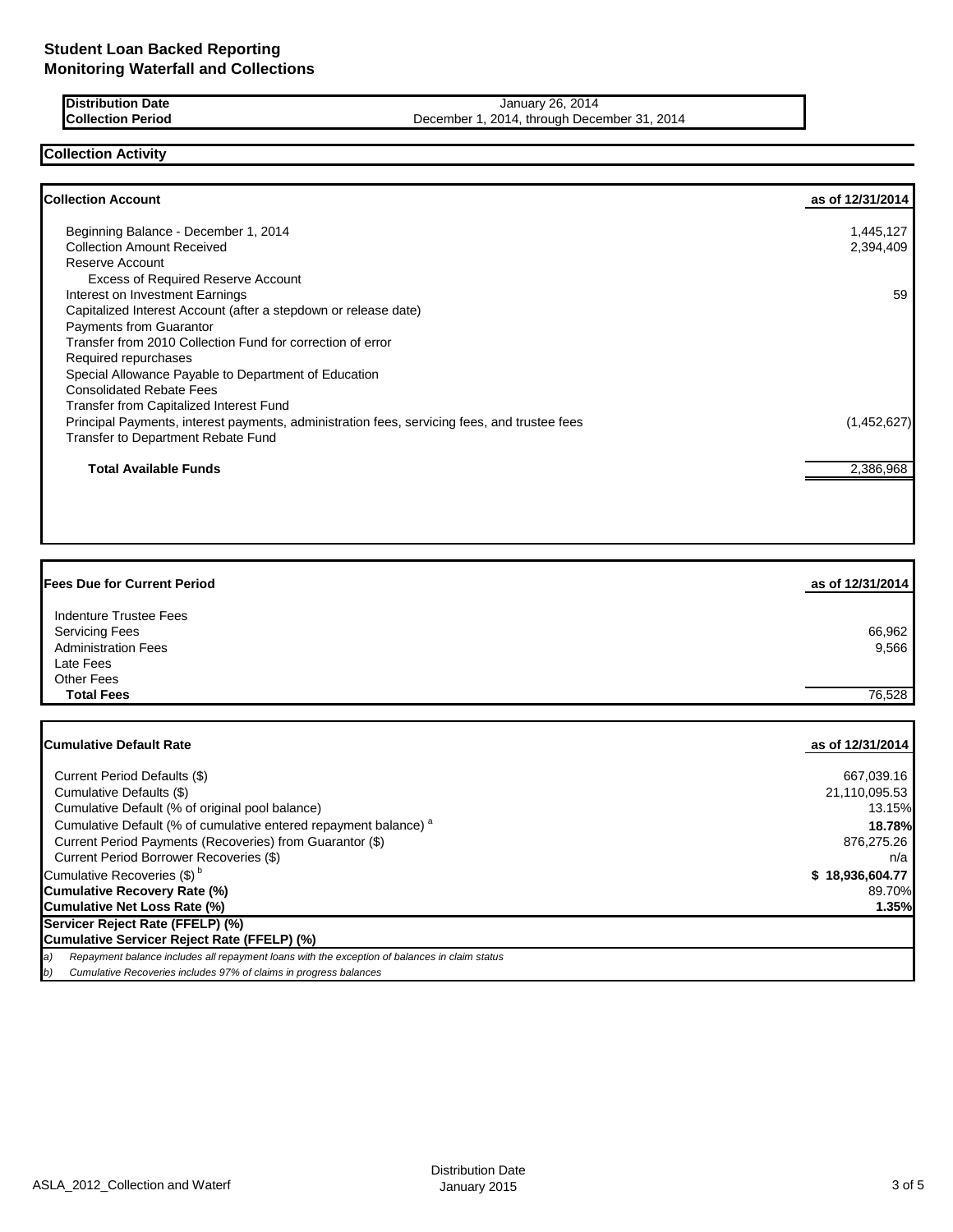**Distribution Date January 26, 2014 Collection Period December 1, 2014, through December 31, 2014** 

**Collection Activity**

| <b>Collection Account</b>                                                                    | as of 12/31/2014 |
|----------------------------------------------------------------------------------------------|------------------|
| Beginning Balance - December 1, 2014                                                         | 1,445,127        |
| <b>Collection Amount Received</b>                                                            | 2,394,409        |
| Reserve Account                                                                              |                  |
| <b>Excess of Required Reserve Account</b>                                                    |                  |
| Interest on Investment Earnings                                                              | 59               |
| Capitalized Interest Account (after a stepdown or release date)                              |                  |
| <b>Payments from Guarantor</b>                                                               |                  |
| Transfer from 2010 Collection Fund for correction of error                                   |                  |
| Required repurchases                                                                         |                  |
| Special Allowance Payable to Department of Education                                         |                  |
| <b>Consolidated Rebate Fees</b>                                                              |                  |
| Transfer from Capitalized Interest Fund                                                      |                  |
| Principal Payments, interest payments, administration fees, servicing fees, and trustee fees | (1,452,627)      |
| <b>Transfer to Department Rebate Fund</b>                                                    |                  |
| <b>Total Available Funds</b>                                                                 | 2,386,968        |
|                                                                                              |                  |

| <b>IFees Due for Current Period</b>                                                | as of 12/31/2014       |
|------------------------------------------------------------------------------------|------------------------|
| Indenture Trustee Fees                                                             |                        |
| <b>Servicing Fees</b>                                                              | 66,962                 |
| <b>Administration Fees</b>                                                         | 9,566                  |
| Late Fees                                                                          |                        |
| <b>Other Fees</b>                                                                  |                        |
| <b>Total Fees</b>                                                                  | 76,528                 |
|                                                                                    |                        |
|                                                                                    |                        |
| <b>Cumulative Default Rate</b>                                                     | as of 12/31/2014       |
| Current Period Defaults (\$)                                                       | 667,039.16             |
| Cumulative Defaults (\$)                                                           |                        |
|                                                                                    |                        |
|                                                                                    | 21,110,095.53          |
| Cumulative Default (% of original pool balance)                                    | 13.15%                 |
| Cumulative Default (% of cumulative entered repayment balance) <sup>a</sup>        | 18.78%                 |
| Current Period Payments (Recoveries) from Guarantor (\$)                           | 876,275.26             |
| Current Period Borrower Recoveries (\$)<br>Cumulative Recoveries (\$) <sup>b</sup> | n/a<br>\$18,936,604.77 |

**Cumulative Recovery Rate (%)** 89.70% **Cumulative Net Loss Rate (%) 1.35%**

**Servicer Reject Rate (FFELP) (%)**

## **Cumulative Servicer Reject Rate (FFELP) (%)**

*a) Repayment balance includes all repayment loans with the exception of balances in claim status*

*b) Cumulative Recoveries includes 97% of claims in progress balances*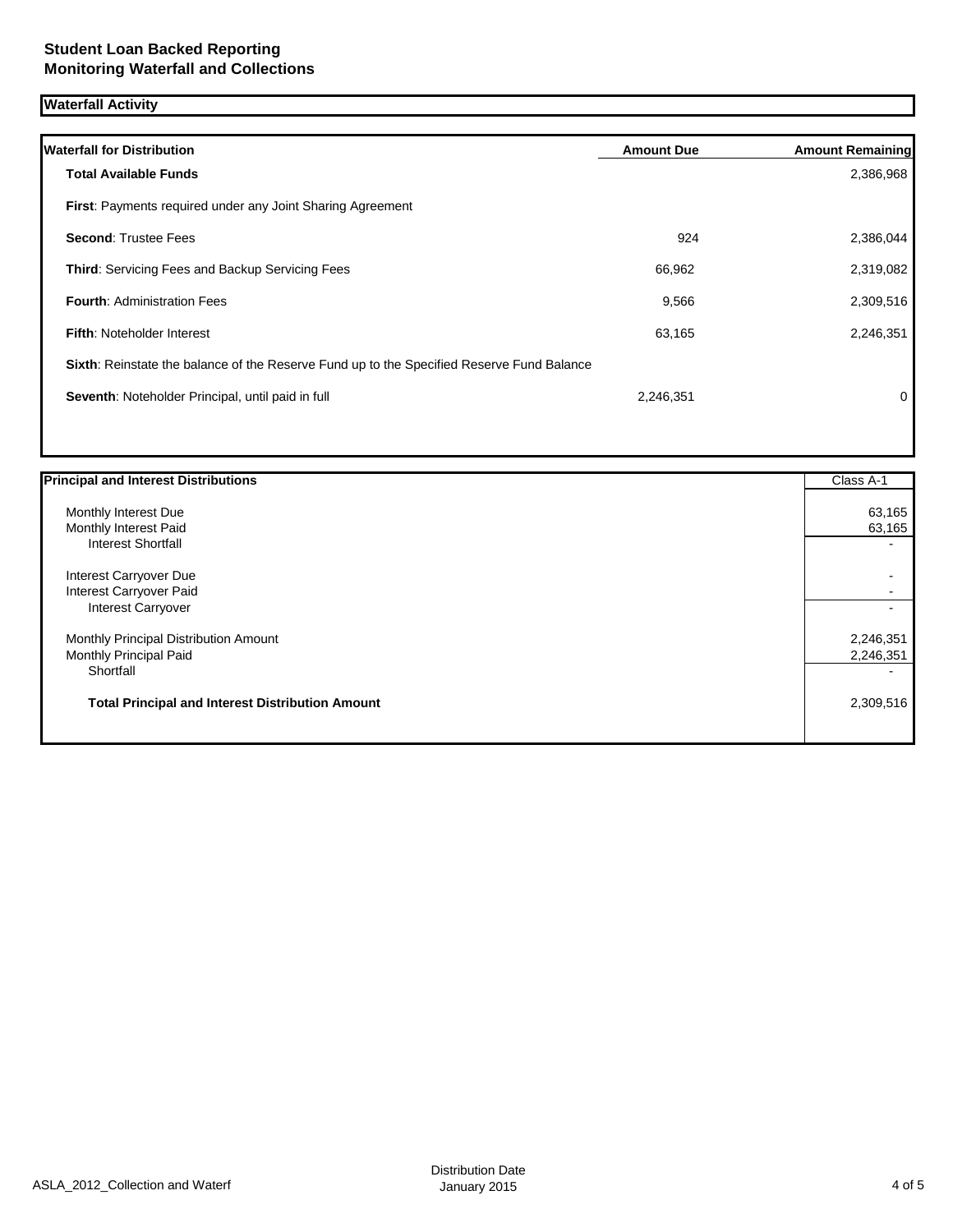# **Waterfall Activity**

| <b>Waterfall for Distribution</b>                                                         | <b>Amount Due</b> | <b>Amount Remaining</b> |
|-------------------------------------------------------------------------------------------|-------------------|-------------------------|
| Total Available Funds                                                                     |                   | 2,386,968               |
| <b>First:</b> Payments required under any Joint Sharing Agreement                         |                   |                         |
| <b>Second: Trustee Fees</b>                                                               | 924               | 2,386,044               |
| <b>Third: Servicing Fees and Backup Servicing Fees</b>                                    | 66,962            | 2,319,082               |
| <b>Fourth: Administration Fees</b>                                                        | 9,566             | 2,309,516               |
| <b>Fifth: Noteholder Interest</b>                                                         | 63,165            | 2,246,351               |
| Sixth: Reinstate the balance of the Reserve Fund up to the Specified Reserve Fund Balance |                   |                         |
| Seventh: Noteholder Principal, until paid in full                                         | 2,246,351         | 0                       |
|                                                                                           |                   |                         |

| <b>Principal and Interest Distributions</b>             | Class A-1 |
|---------------------------------------------------------|-----------|
| Monthly Interest Due                                    | 63,165    |
| Monthly Interest Paid                                   | 63,165    |
| <b>Interest Shortfall</b>                               |           |
| Interest Carryover Due                                  |           |
| Interest Carryover Paid                                 |           |
| Interest Carryover                                      |           |
| Monthly Principal Distribution Amount                   | 2,246,351 |
| Monthly Principal Paid                                  | 2,246,351 |
| Shortfall                                               |           |
| <b>Total Principal and Interest Distribution Amount</b> | 2,309,516 |
|                                                         |           |
|                                                         |           |